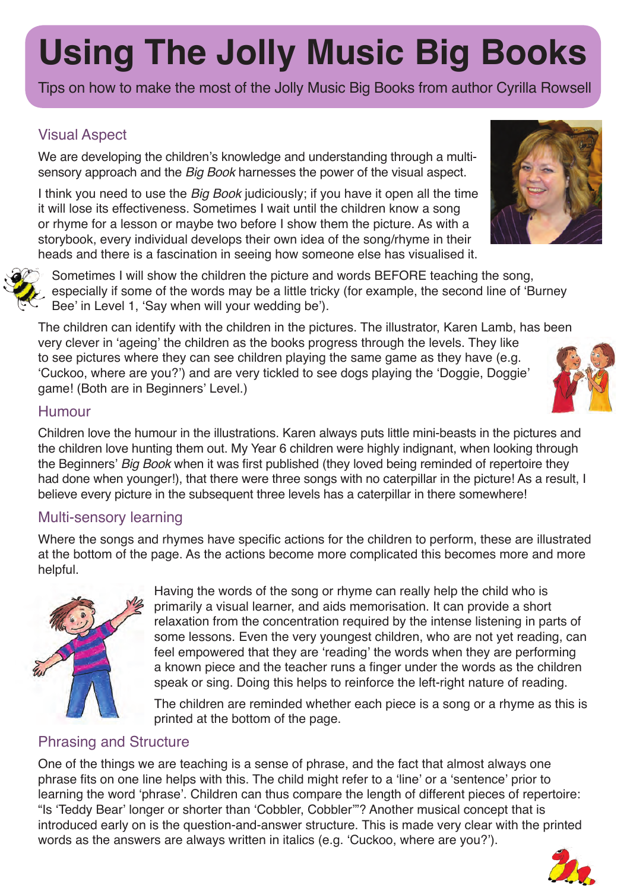# **Using The Jolly Music Big Books**

Tips on how to make the most of the Jolly Music Big Books from author Cyrilla Rowsell

# Visual Aspect

We are developing the children's knowledge and understanding through a multisensory approach and the Big Book harnesses the power of the visual aspect.

I think you need to use the Big Book judiciously; if you have it open all the time it will lose its effectiveness. Sometimes I wait until the children know a song or rhyme for a lesson or maybe two before I show them the picture. As with a storybook, every individual develops their own idea of the song/rhyme in their heads and there is a fascination in seeing how someone else has visualised it.





Sometimes I will show the children the picture and words BEFORE teaching the song, especially if some of the words may be a little tricky (for example, the second line of 'Burney Bee' in Level 1, 'Say when will your wedding be').

The children can identify with the children in the pictures. The illustrator, Karen Lamb, has been very clever in 'ageing' the children as the books progress through the levels. They like to see pictures where they can see children playing the same game as they have (e.g. 'Cuckoo, where are you?') and are very tickled to see dogs playing the 'Doggie, Doggie' game! (Both are in Beginners' Level.)

#### Humour

Children love the humour in the illustrations. Karen always puts little mini-beasts in the pictures and the children love hunting them out. My Year 6 children were highly indignant, when looking through the Beginners' Big Book when it was first published (they loved being reminded of repertoire they had done when younger!), that there were three songs with no caterpillar in the picture! As a result, I believe every picture in the subsequent three levels has a caterpillar in there somewhere!

## Multi-sensory learning

Where the songs and rhymes have specific actions for the children to perform, these are illustrated at the bottom of the page. As the actions become more complicated this becomes more and more helpful.



Having the words of the song or rhyme can really help the child who is primarily a visual learner, and aids memorisation. It can provide a short relaxation from the concentration required by the intense listening in parts of some lessons. Even the very youngest children, who are not yet reading, can feel empowered that they are 'reading' the words when they are performing a known piece and the teacher runs a finger under the words as the children speak or sing. Doing this helps to reinforce the left-right nature of reading.

The children are reminded whether each piece is a song or a rhyme as this is printed at the bottom of the page.

## Phrasing and Structure

One of the things we are teaching is a sense of phrase, and the fact that almost always one phrase fits on one line helps with this. The child might refer to a 'line' or a 'sentence' prior to learning the word 'phrase'. Children can thus compare the length of different pieces of repertoire: "Is 'Teddy Bear' longer or shorter than 'Cobbler, Cobbler'"? Another musical concept that is introduced early on is the question-and-answer structure. This is made very clear with the printed words as the answers are always written in italics (e.g. 'Cuckoo, where are you?').